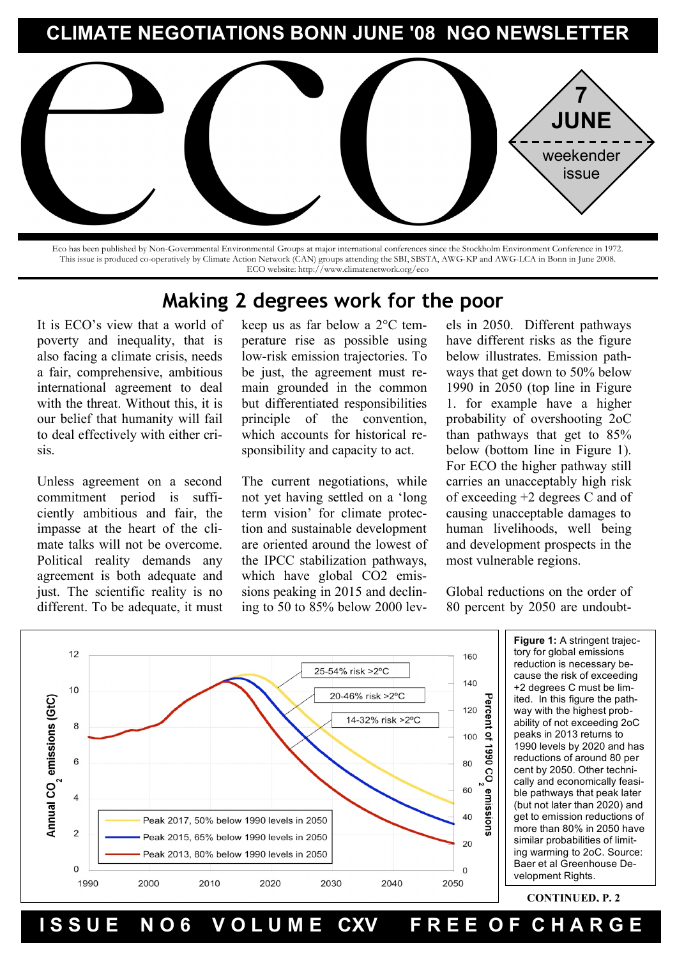# **CLIMATE NEGOTIATIONS BONN JUNE '08 NGO NEWSLETTER**



Eco has been published by Non-Governmental Environmental Groups at major international conferences since the Stockholm Environment Conference in 1972. This issue is produced co-operatively by Climate Action Network (CAN) groups attending the SBI, SBSTA, AWG-KP and AWG-LCA in Bonn in June 2008. ECO website: http://www.climatenetwork.org/eco

# **Making 2 degrees work for the poor**

It is ECO's view that a world of poverty and inequality, that is also facing a climate crisis, needs a fair, comprehensive, ambitious international agreement to deal with the threat. Without this, it is our belief that humanity will fail to deal effectively with either crisis.

Unless agreement on a second commitment period is sufficiently ambitious and fair, the impasse at the heart of the climate talks will not be overcome. Political reality demands any agreement is both adequate and just. The scientific reality is no different. To be adequate, it must keep us as far below a 2°C temperature rise as possible using low-risk emission trajectories. To be just, the agreement must remain grounded in the common but differentiated responsibilities principle of the convention, which accounts for historical responsibility and capacity to act.

The current negotiations, while not yet having settled on a 'long term vision' for climate protection and sustainable development are oriented around the lowest of the IPCC stabilization pathways, which have global CO2 emissions peaking in 2015 and declining to 50 to 85% below 2000 levels in 2050. Different pathways have different risks as the figure below illustrates. Emission pathways that get down to 50% below 1990 in 2050 (top line in Figure 1. for example have a higher probability of overshooting 2oC than pathways that get to 85% below (bottom line in Figure 1). For ECO the higher pathway still carries an unacceptably high risk of exceeding +2 degrees C and of causing unacceptable damages to human livelihoods, well being and development prospects in the most vulnerable regions.

Global reductions on the order of 80 percent by 2050 are undoubt-

edly challenging, but there seems



**Figure 1:** A stringent trajec- $\overline{z}$  160  $\overline{z}$  tory for global emissions messages, as the science of this is cause the risk of exceeding quite robust: if you want a high +2 degrees C must be lim- $\frac{pq}{pq}$  lited. In this figure the path- $\begin{bmatrix} 20 & 20 \\ 2 & 1 \end{bmatrix}$  ability of not exceeding 2oC  $\frac{1}{2}$  100  $\frac{1}{2}$  | peaks in 2013 returns to  $\frac{1}{\frac{1}{2}}$  | 1990 levels by 2020 and has  $\frac{1}{2}$   $\frac{1}{2}$   $\frac{1}{2}$  cally and economically feasi- $\begin{bmatrix} 1 & 60 \\ 9 & 1 \end{bmatrix}$  ble pathways that peak later  $\begin{bmatrix} 1 & 0 & 0 \\ 0 & 0 & 0 \\ 0 & 0 & 0 \end{bmatrix}$  of the emission reductions of  $\frac{9}{10}$  more than 80% in 2050 have  $\begin{array}{r|l}\n\hline\n & 20\n\end{array}$  similar probabilities of limitfirst warning to zoo. Source<br>Baer et al Greenhouse De- $\begin{array}{c|c} \hline \end{array}$  on  $\begin{array}{c} \hline \end{array}$  velopment Rights. reduction is necessary beway with the highest probreductions of around 80 per cent by 2050. Other techni-(but not later than 2020) and ing warming to 2oC. Source:

ISSUE NO6 VOLUME CXV FREE OF CHARGE s slower, and the within  $\sigma$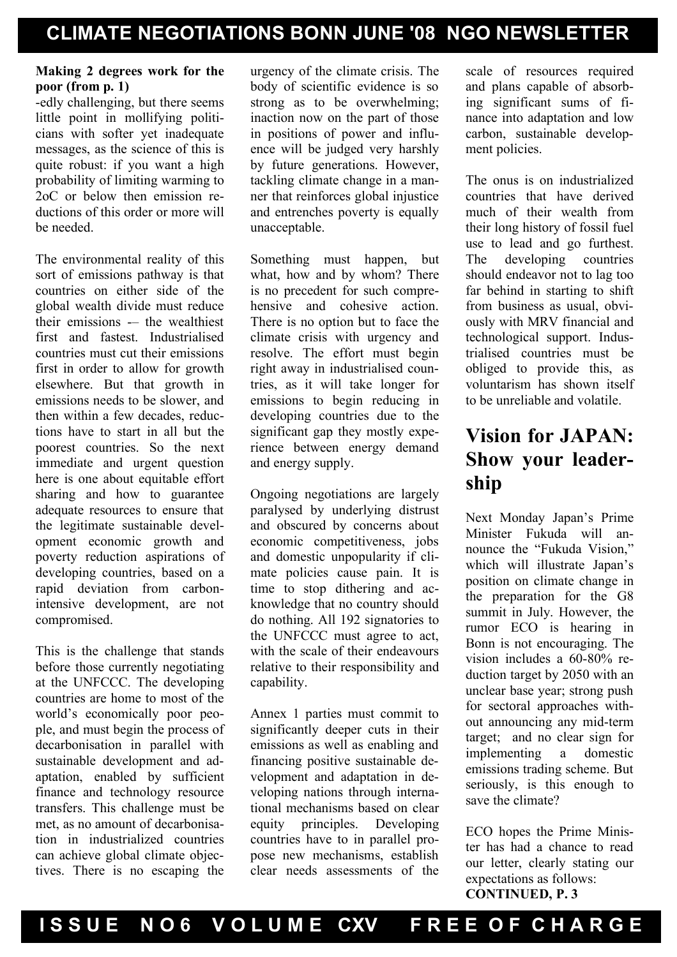### **Making 2 degrees work for the poor (from p. 1)**

-edly challenging, but there seems little point in mollifying politicians with softer yet inadequate messages, as the science of this is quite robust: if you want a high probability of limiting warming to 2oC or below then emission reductions of this order or more will be needed.

The environmental reality of this sort of emissions pathway is that countries on either side of the global wealth divide must reduce their emissions -– the wealthiest first and fastest. Industrialised countries must cut their emissions first in order to allow for growth elsewhere. But that growth in emissions needs to be slower, and then within a few decades, reductions have to start in all but the poorest countries. So the next immediate and urgent question here is one about equitable effort sharing and how to guarantee adequate resources to ensure that the legitimate sustainable development economic growth and poverty reduction aspirations of developing countries, based on a rapid deviation from carbonintensive development, are not compromised.

This is the challenge that stands before those currently negotiating at the UNFCCC. The developing countries are home to most of the world's economically poor people, and must begin the process of decarbonisation in parallel with sustainable development and adaptation, enabled by sufficient finance and technology resource transfers. This challenge must be met, as no amount of decarbonisation in industrialized countries can achieve global climate objectives. There is no escaping the urgency of the climate crisis. The body of scientific evidence is so strong as to be overwhelming; inaction now on the part of those in positions of power and influence will be judged very harshly by future generations. However, tackling climate change in a manner that reinforces global injustice and entrenches poverty is equally unacceptable.

Something must happen, but what, how and by whom? There is no precedent for such comprehensive and cohesive action There is no option but to face the climate crisis with urgency and resolve. The effort must begin right away in industrialised countries, as it will take longer for emissions to begin reducing in developing countries due to the significant gap they mostly experience between energy demand and energy supply.

Ongoing negotiations are largely paralysed by underlying distrust and obscured by concerns about economic competitiveness, jobs and domestic unpopularity if climate policies cause pain. It is time to stop dithering and acknowledge that no country should do nothing. All 192 signatories to the UNFCCC must agree to act, with the scale of their endeavours relative to their responsibility and capability.

Annex 1 parties must commit to significantly deeper cuts in their emissions as well as enabling and financing positive sustainable development and adaptation in developing nations through international mechanisms based on clear equity principles. Developing countries have to in parallel propose new mechanisms, establish clear needs assessments of the

scale of resources required and plans capable of absorbing significant sums of finance into adaptation and low carbon, sustainable development policies.

The onus is on industrialized countries that have derived much of their wealth from their long history of fossil fuel use to lead and go furthest. The developing countries should endeavor not to lag too far behind in starting to shift from business as usual, obviously with MRV financial and technological support. Industrialised countries must be obliged to provide this, as voluntarism has shown itself to be unreliable and volatile.

# **Vision for JAPAN: Show your leadership**

Next Monday Japan's Prime Minister Fukuda will announce the "Fukuda Vision," which will illustrate Japan's position on climate change in the preparation for the G8 summit in July. However, the rumor ECO is hearing in Bonn is not encouraging. The vision includes a 60-80% reduction target by 2050 with an unclear base year; strong push for sectoral approaches without announcing any mid-term target; and no clear sign for implementing a domestic emissions trading scheme. But seriously, is this enough to save the climate?

ECO hopes the Prime Minister has had a chance to read our letter, clearly stating our expectations as follows: **CONTINUED, P. 3**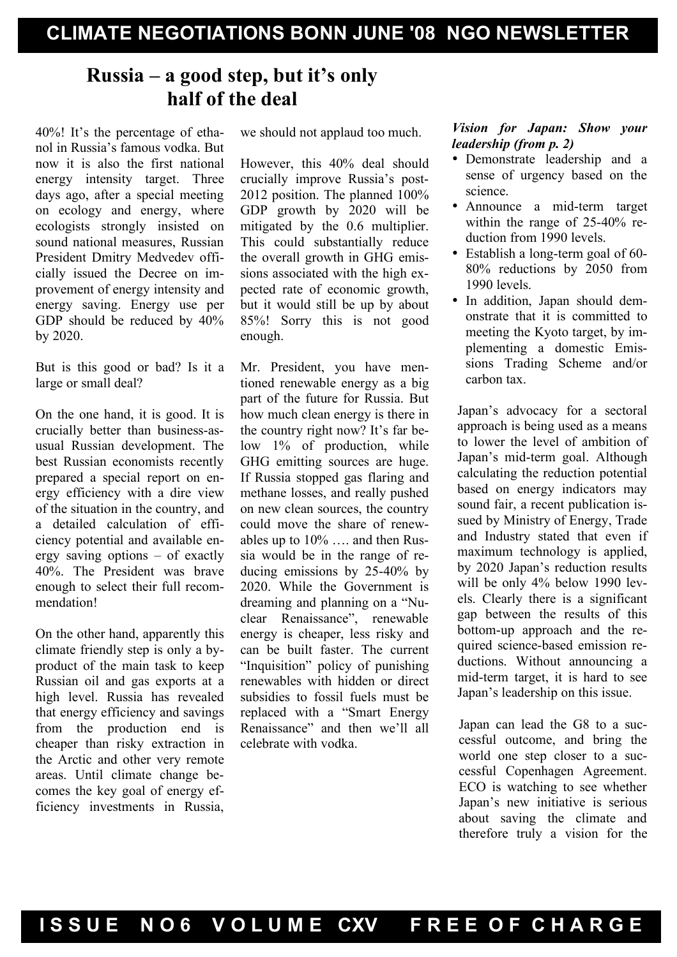# **Russia – a good step, but it's only half of the deal**

40%! It's the percentage of ethanol in Russia's famous vodka. But now it is also the first national energy intensity target. Three days ago, after a special meeting on ecology and energy, where ecologists strongly insisted on sound national measures, Russian President Dmitry Medvedev officially issued the Decree on improvement of energy intensity and energy saving. Energy use per GDP should be reduced by 40% by 2020.

But is this good or bad? Is it a large or small deal?

On the one hand, it is good. It is crucially better than business-asusual Russian development. The best Russian economists recently prepared a special report on energy efficiency with a dire view of the situation in the country, and a detailed calculation of efficiency potential and available energy saving options – of exactly 40%. The President was brave enough to select their full recommendation!

On the other hand, apparently this climate friendly step is only a byproduct of the main task to keep Russian oil and gas exports at a high level. Russia has revealed that energy efficiency and savings from the production end is cheaper than risky extraction in the Arctic and other very remote areas. Until climate change becomes the key goal of energy efficiency investments in Russia, we should not applaud too much.

However, this 40% deal should crucially improve Russia's post-2012 position. The planned 100% GDP growth by 2020 will be mitigated by the 0.6 multiplier. This could substantially reduce the overall growth in GHG emissions associated with the high expected rate of economic growth, but it would still be up by about 85%! Sorry this is not good enough.

Mr. President, you have mentioned renewable energy as a big part of the future for Russia. But how much clean energy is there in the country right now? It's far below 1% of production, while GHG emitting sources are huge. If Russia stopped gas flaring and methane losses, and really pushed on new clean sources, the country could move the share of renewables up to 10% …. and then Russia would be in the range of reducing emissions by 25-40% by 2020. While the Government is dreaming and planning on a "Nuclear Renaissance", renewable energy is cheaper, less risky and can be built faster. The current "Inquisition" policy of punishing renewables with hidden or direct subsidies to fossil fuels must be replaced with a "Smart Energy Renaissance" and then we'll all celebrate with vodka.

### *Vision for Japan: Show your leadership (from p. 2)*

- Demonstrate leadership and a sense of urgency based on the science.
- Announce a mid-term target within the range of 25-40% reduction from 1990 levels.
- Establish a long-term goal of 60-80% reductions by 2050 from 1990 levels.
- In addition, Japan should demonstrate that it is committed to meeting the Kyoto target, by implementing a domestic Emissions Trading Scheme and/or carbon tax.

Japan's advocacy for a sectoral approach is being used as a means to lower the level of ambition of Japan's mid-term goal. Although calculating the reduction potential based on energy indicators may sound fair, a recent publication issued by Ministry of Energy, Trade and Industry stated that even if maximum technology is applied, by 2020 Japan's reduction results will be only 4% below 1990 levels. Clearly there is a significant gap between the results of this bottom-up approach and the required science-based emission reductions. Without announcing a mid-term target, it is hard to see Japan's leadership on this issue.

Japan can lead the G8 to a successful outcome, and bring the world one step closer to a successful Copenhagen Agreement. ECO is watching to see whether Japan's new initiative is serious about saving the climate and therefore truly a vision for the

Fusce posuere, magna sed pulvinar